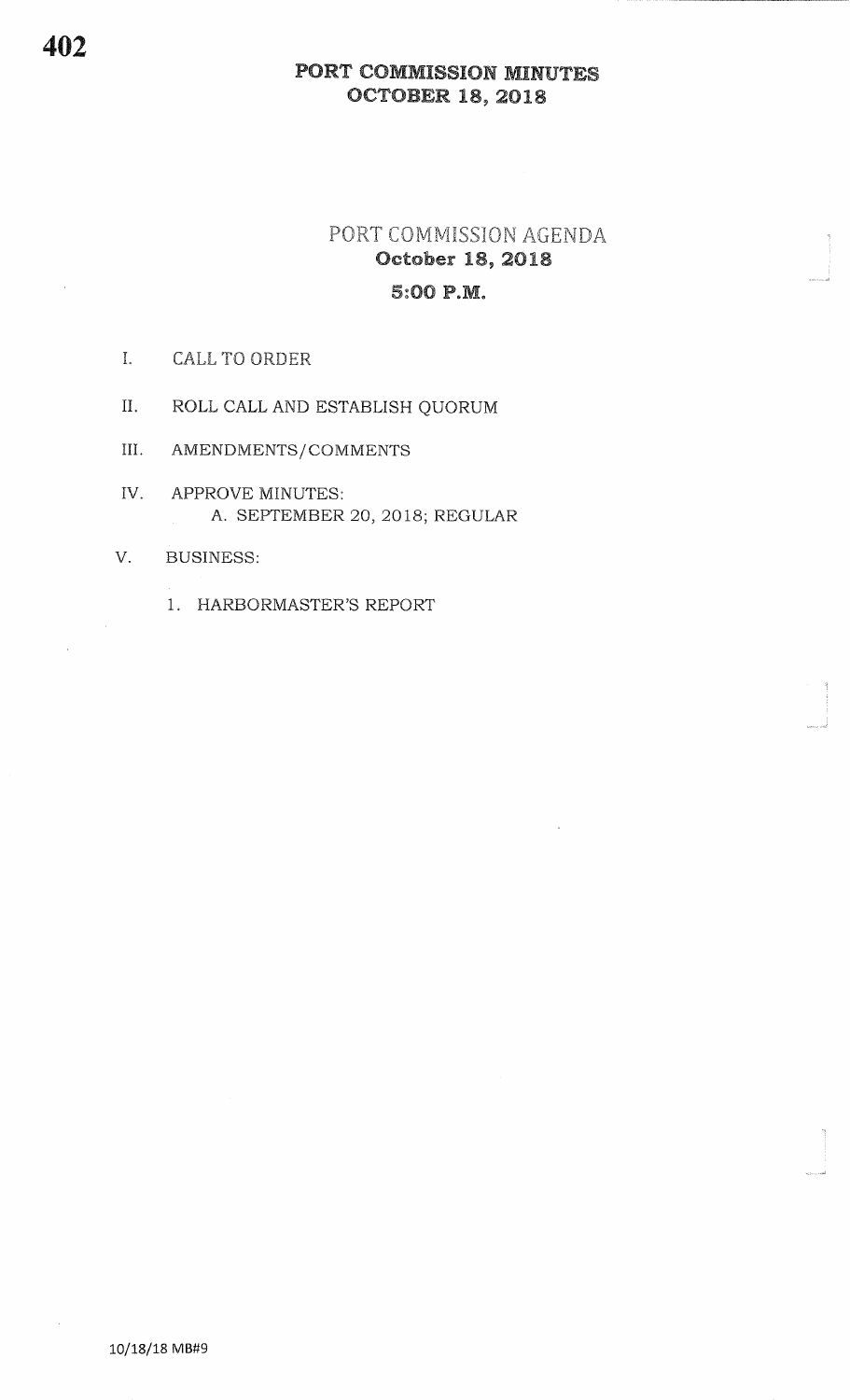### PORT COMMISSION MINUTESocToBER 19, 2O1g

# PORT COMMISSION AGENDA October 18, 20185:OO P.M.

Ii<br>Sebuah di Kabupatèn<br>Jawa di Kabupatèn Kabupatèn Kabupatèn Kabupatèn Kabupatèn Kabupatèn Kabupatèn Kabupatèn Kabupatèn Kabupatèn K

.<br>www.

\*J

- I. CALL TO ORDER
- II. ROLL CALL AND ESTABLISH QUORUM
- III. AMENDMENTS/COMMENTS
- IV. APPROVE MINUTES A. SEPTEMBER 20, 2018; REGULAR
- V. BUSINESS
	- 1. HARBORMASTER'S REPORT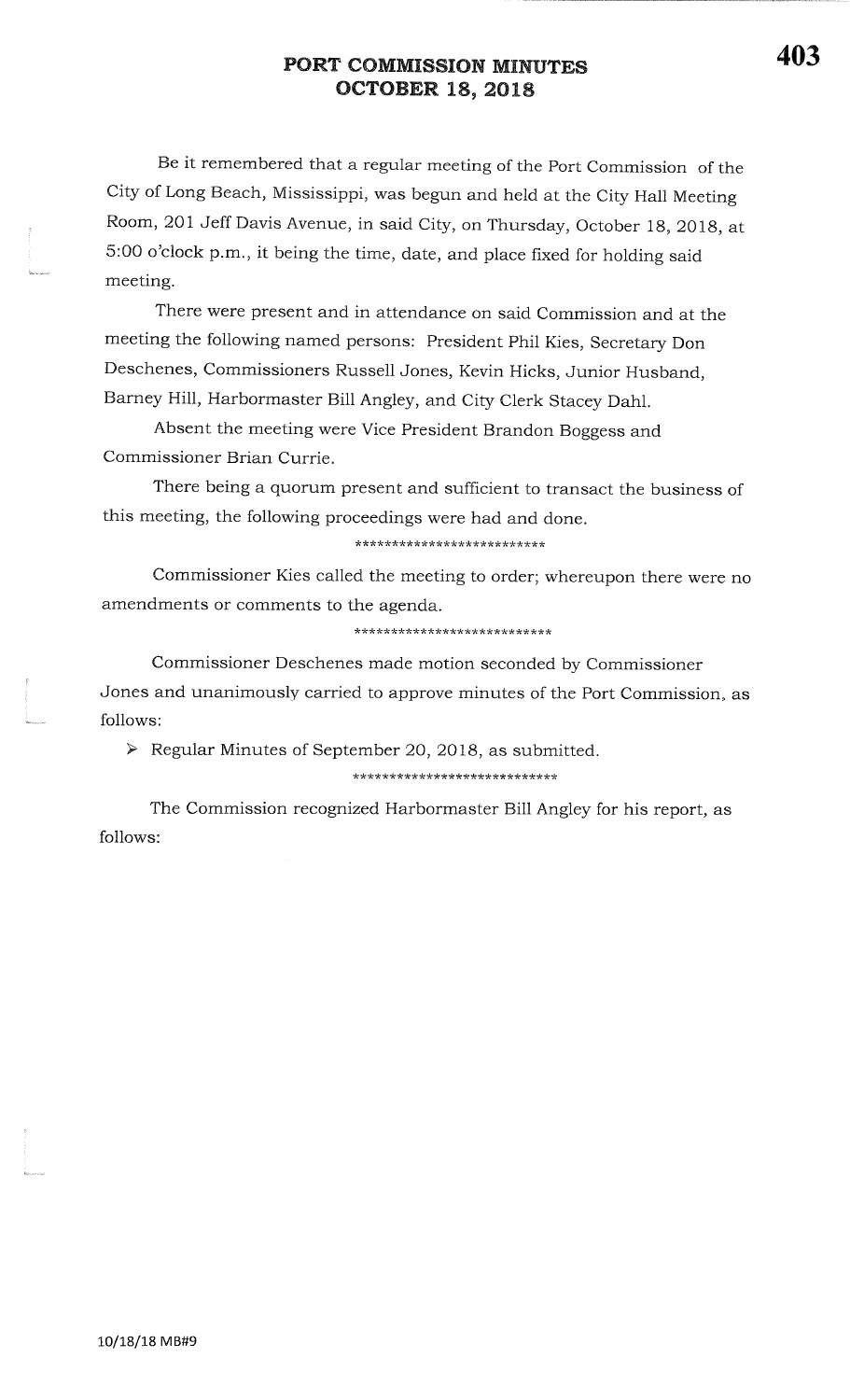## PORT COMMISSION MINUTESocToBER 18, 2018

Be it remembered that a regular meeting of the Port Commission of the City of Long Beach, Mississippi, was begun and held at the City Hall MeetingRoom, 201 Jeff Davis Avenue, in said City, on Thursday, October 18, 2018, at 5:00 o'clock p.m., it being the time, date, and place fixed for holding saidmeeting.

There were present and in attendance on said Commission and at themeeting the following named persons: President Phil Kies, Secretary Don Deschenes, Commissioners Russell Jones, Kevin Hicks, Junior Husband,Barney Hill, Harbormaster Bill Angley, and cify clerk stacey Dahl.

Absent the meeting were vice President Brandon Boggess andCommissioner Brian Currie.

There being a quorum present and sufficient to transact the business ofthis meeting, the following proceedings were had and done.

\*\*\*\*\*\*\*\*\*\*\*\*\*\*\*\*\*\*\*\*\*\*\*\*\*

Commissioner Kies called the meeting to order; whereupon there were no amendments or comments to the agenda.

\*\*\*\*\*\*\*\*\*\*\*\*\*\*\*\*\*\*\*\*\*\*\*\*\*\*\*

Commissioner Deschenes made motion seconded by Commissioner Jones and unanimously carried to approve minutes of the Port Commission, asfollows:

 $\triangleright$  Regular Minutes of September 20, 2018, as submitted.

\*\*\*\*\*\*\*\*\*\*\*\*\*\*\*\*\*\*\*\*\*\*\*\*\*\*\*\*

The Commission recognized Harbormaster Bill Angley for his report, asfollows: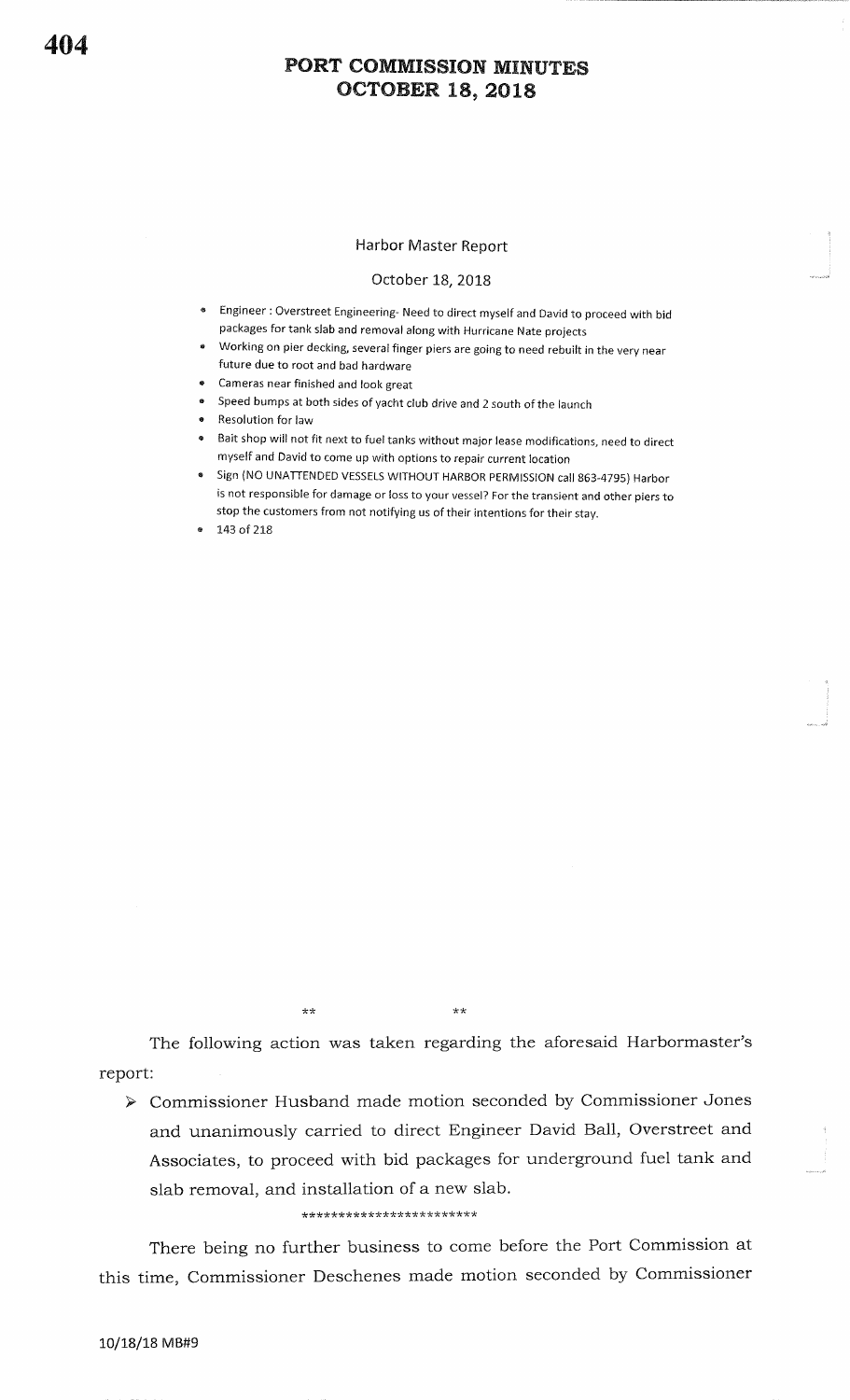#### PORT COMMISSION MINUTESocToBER 18, 2O1g

#### Harbor Master Report

#### October L8, 2018

- \* Engineer : Overstreet Engineering- Need to direct myself and David to proceed with bid packages for tank slab and removal along with Hurricane Nate projects
- **Working on pier decking, several finger piers are going to need rebuilt in the very near** future due to root and bad hardware
- **Exercise 3** Cameras near finished and look great
- Speed bumps at both sides of yacht club drive and 2 south of the launch
- **Resolution for law**
- **Bait shop will not fit next to fuel tanks without major lease modifications, need to direct** myself and David to come up with options to repair current location
- $\bullet$  Sign (NO UNATTENDED VESSELS WITHOUT HARBOR PERMISSION call 863-4795) Harbor is not responsible for damage or loss to your vessel? For the transient and other piers tostop the customers from not notifying us of their intentions for their stay.
- 143 of 218

\*\*

\*\*

The following action was taken regarding the aforesaid Harbormaster'sreport:

> Commissioner Husband made motion seconded by Commissioner Jones and unanimously carried to direct Engineer David Ball, Overstreet andAssociates, to proceed with bid packages for underground fuel tank andslab removal, and installation of a new slab.

\*\*\* \*\*\* \*\* rk\*\*\* tk \* \* \*?k \* \* \*\* tk\*\*

There being no further business to come before the Port Commission at this time, Commissioner Deschenes made motion seconded by Commissioner